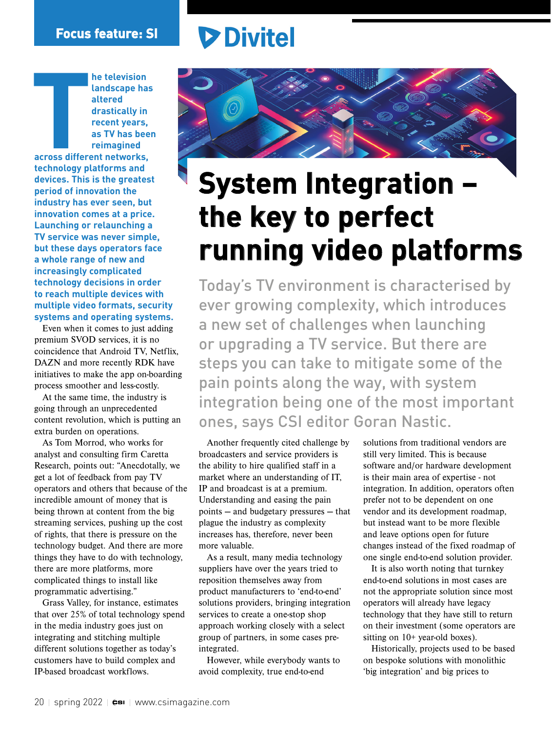## **Divitel**

**THE CONSTRUCTION he television landscape has altered drastically in recent years, as TV has been reimagined across different networks, technology platforms and devices. This is the greatest period of innovation the industry has ever seen, but innovation comes at a price. Launching or relaunching a TV service was never simple, but these days operators face a whole range of new and increasingly complicated technology decisions in order to reach multiple devices with multiple video formats, security systems and operating systems.**

Even when it comes to just adding premium SVOD services, it is no coincidence that Android TV, Netflix, DAZN and more recently RDK have initiatives to make the app on-boarding process smoother and less-costly.

At the same time, the industry is going through an unprecedented content revolution, which is putting an extra burden on operations.

As Tom Morrod, who works for analyst and consulting firm Caretta Research, points out: "Anecdotally, we get a lot of feedback from pay TV operators and others that because of the incredible amount of money that is being thrown at content from the big streaming services, pushing up the cost of rights, that there is pressure on the technology budget. And there are more things they have to do with technology, there are more platforms, more complicated things to install like programmatic advertising."

Grass Valley, for instance, estimates that over 25% of total technology spend in the media industry goes just on integrating and stitching multiple different solutions together as today's customers have to build complex and IP-based broadcast workflows.



## **System Integration – the key to perfect running video platforms**

Today's TV environment is characterised by ever growing complexity, which introduces a new set of challenges when launching or upgrading a TV service. But there are steps you can take to mitigate some of the pain points along the way, with system integration being one of the most important ones, says CSI editor Goran Nastic.

Another frequently cited challenge by broadcasters and service providers is the ability to hire qualified staff in a market where an understanding of IT, IP and broadcast is at a premium. Understanding and easing the pain points — and budgetary pressures — that plague the industry as complexity increases has, therefore, never been more valuable.

As a result, many media technology suppliers have over the years tried to reposition themselves away from product manufacturers to 'end-to-end' solutions providers, bringing integration services to create a one-stop shop approach working closely with a select group of partners, in some cases preintegrated.

However, while everybody wants to avoid complexity, true end-to-end

solutions from traditional vendors are still very limited. This is because software and/or hardware development is their main area of expertise - not integration. In addition, operators often prefer not to be dependent on one vendor and its development roadmap, but instead want to be more flexible and leave options open for future changes instead of the fixed roadmap of one single end-to-end solution provider.

It is also worth noting that turnkey end-to-end solutions in most cases are not the appropriate solution since most operators will already have legacy technology that they have still to return on their investment (some operators are sitting on 10+ year-old boxes).

Historically, projects used to be based on bespoke solutions with monolithic 'big integration' and big prices to